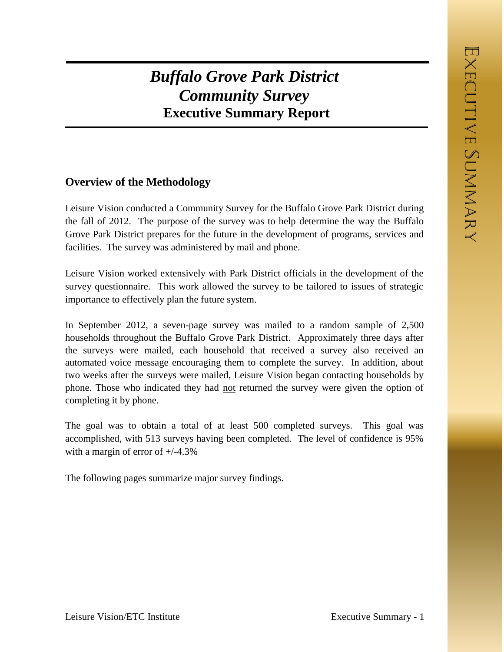## *Buffalo Grove Park District Community Survey* **Executive Summary Report**

## **Overview of the Methodology**

Leisure Vision conducted a Community Survey for the Buffalo Grove Park District during the fall of 2012. The purpose of the survey was to help determine the way the Buffalo Grove Park District prepares for the future in the development of programs, services and facilities. The survey was administered by mail and phone.

Leisure Vision worked extensively with Park District officials in the development of the survey questionnaire. This work allowed the survey to be tailored to issues of strategic importance to effectively plan the future system.

In September 2012, a seven-page survey was mailed to a random sample of 2,500 households throughout the Buffalo Grove Park District. Approximately three days after the surveys were mailed, each household that received a survey also received an automated voice message encouraging them to complete the survey. In addition, about two weeks after the surveys were mailed, Leisure Vision began contacting households by phone. Those who indicated they had not returned the survey were given the option of completing it by phone.

The goal was to obtain a total of at least 500 completed surveys. This goal was accomplished, with 513 surveys having been completed. The level of confidence is 95% with a margin of error of  $+/-4.3\%$ 

The following pages summarize major survey findings.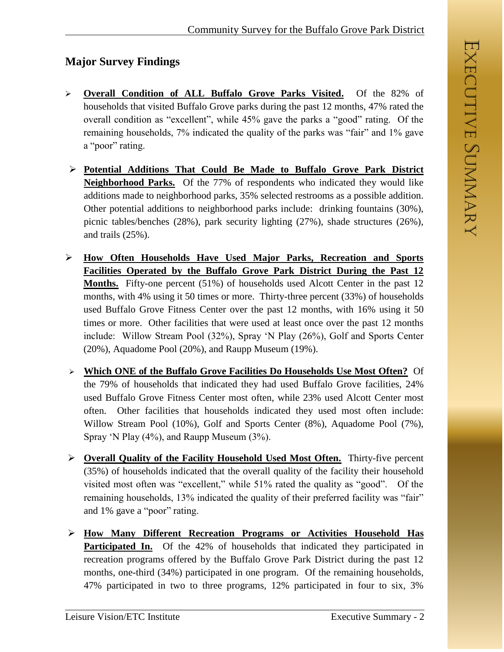## **Major Survey Findings**

- **Overall Condition of ALL Buffalo Grove Parks Visited.** Of the 82% of households that visited Buffalo Grove parks during the past 12 months, 47% rated the overall condition as "excellent", while 45% gave the parks a "good" rating. Of the remaining households, 7% indicated the quality of the parks was "fair" and 1% gave a "poor" rating.
- **Potential Additions That Could Be Made to Buffalo Grove Park District Neighborhood Parks.** Of the 77% of respondents who indicated they would like additions made to neighborhood parks, 35% selected restrooms as a possible addition. Other potential additions to neighborhood parks include: drinking fountains (30%), picnic tables/benches (28%), park security lighting (27%), shade structures (26%), and trails (25%).
- **How Often Households Have Used Major Parks, Recreation and Sports Facilities Operated by the Buffalo Grove Park District During the Past 12 Months.** Fifty-one percent (51%) of households used Alcott Center in the past 12 months, with 4% using it 50 times or more. Thirty-three percent (33%) of households used Buffalo Grove Fitness Center over the past 12 months, with 16% using it 50 times or more. Other facilities that were used at least once over the past 12 months include: Willow Stream Pool (32%), Spray 'N Play (26%), Golf and Sports Center (20%), Aquadome Pool (20%), and Raupp Museum (19%).
- **Which ONE of the Buffalo Grove Facilities Do Households Use Most Often?** Of the 79% of households that indicated they had used Buffalo Grove facilities, 24% used Buffalo Grove Fitness Center most often, while 23% used Alcott Center most often. Other facilities that households indicated they used most often include: Willow Stream Pool (10%), Golf and Sports Center (8%), Aquadome Pool (7%), Spray 'N Play (4%), and Raupp Museum (3%).
- **Overall Quality of the Facility Household Used Most Often.** Thirty-five percent (35%) of households indicated that the overall quality of the facility their household visited most often was "excellent," while 51% rated the quality as "good". Of the remaining households, 13% indicated the quality of their preferred facility was "fair" and 1% gave a "poor" rating.
- **How Many Different Recreation Programs or Activities Household Has Participated In.** Of the 42% of households that indicated they participated in recreation programs offered by the Buffalo Grove Park District during the past 12 months, one-third (34%) participated in one program. Of the remaining households, 47% participated in two to three programs, 12% participated in four to six, 3%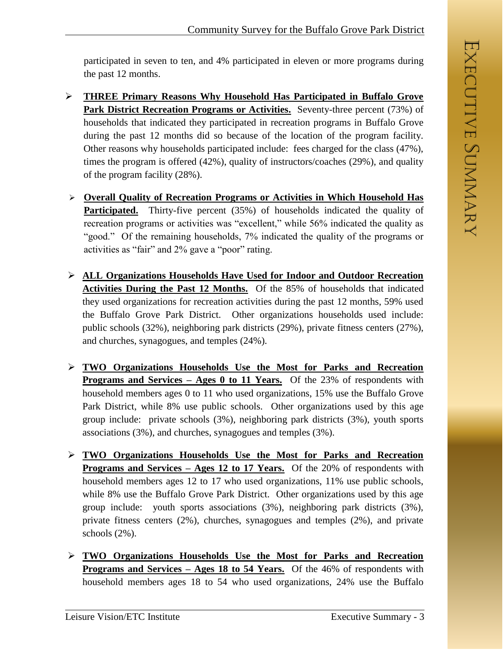participated in seven to ten, and 4% participated in eleven or more programs during the past 12 months.

- **THREE Primary Reasons Why Household Has Participated in Buffalo Grove**  Park District Recreation Programs or Activities. Seventy-three percent (73%) of households that indicated they participated in recreation programs in Buffalo Grove during the past 12 months did so because of the location of the program facility. Other reasons why households participated include: fees charged for the class (47%), times the program is offered (42%), quality of instructors/coaches (29%), and quality of the program facility (28%).
- **Overall Quality of Recreation Programs or Activities in Which Household Has Participated.** Thirty-five percent (35%) of households indicated the quality of recreation programs or activities was "excellent," while 56% indicated the quality as "good." Of the remaining households, 7% indicated the quality of the programs or activities as "fair" and 2% gave a "poor" rating.
- **ALL Organizations Households Have Used for Indoor and Outdoor Recreation Activities During the Past 12 Months.** Of the 85% of households that indicated they used organizations for recreation activities during the past 12 months, 59% used the Buffalo Grove Park District. Other organizations households used include: public schools (32%), neighboring park districts (29%), private fitness centers (27%), and churches, synagogues, and temples (24%).
- **TWO Organizations Households Use the Most for Parks and Recreation Programs and Services – Ages 0 to 11 Years.** Of the 23% of respondents with household members ages 0 to 11 who used organizations, 15% use the Buffalo Grove Park District, while 8% use public schools. Other organizations used by this age group include: private schools (3%), neighboring park districts (3%), youth sports associations (3%), and churches, synagogues and temples (3%).
- **TWO Organizations Households Use the Most for Parks and Recreation Programs and Services – Ages 12 to 17 Years.** Of the 20% of respondents with household members ages 12 to 17 who used organizations, 11% use public schools, while 8% use the Buffalo Grove Park District. Other organizations used by this age group include: youth sports associations (3%), neighboring park districts (3%), private fitness centers (2%), churches, synagogues and temples (2%), and private schools (2%).
- **TWO Organizations Households Use the Most for Parks and Recreation Programs and Services – Ages 18 to 54 Years.** Of the 46% of respondents with household members ages 18 to 54 who used organizations, 24% use the Buffalo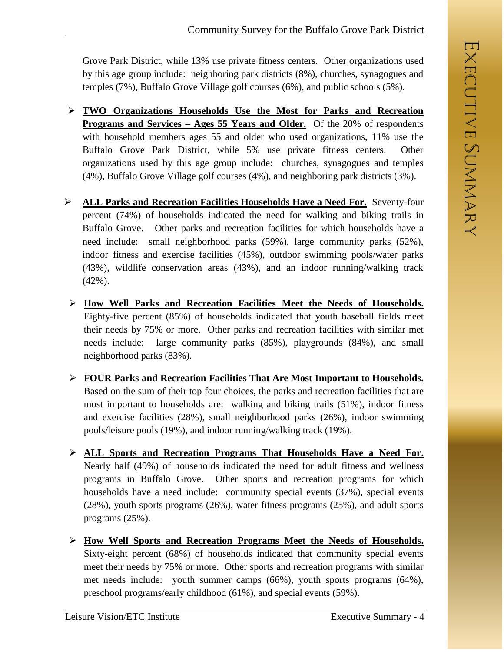Grove Park District, while 13% use private fitness centers. Other organizations used by this age group include: neighboring park districts (8%), churches, synagogues and temples (7%), Buffalo Grove Village golf courses (6%), and public schools (5%).

- **TWO Organizations Households Use the Most for Parks and Recreation Programs and Services – Ages 55 Years and Older.** Of the 20% of respondents with household members ages 55 and older who used organizations, 11% use the Buffalo Grove Park District, while 5% use private fitness centers. Other organizations used by this age group include: churches, synagogues and temples (4%), Buffalo Grove Village golf courses (4%), and neighboring park districts (3%).
- **ALL Parks and Recreation Facilities Households Have a Need For.** Seventy-four percent (74%) of households indicated the need for walking and biking trails in Buffalo Grove. Other parks and recreation facilities for which households have a need include: small neighborhood parks (59%), large community parks (52%), indoor fitness and exercise facilities (45%), outdoor swimming pools/water parks (43%), wildlife conservation areas (43%), and an indoor running/walking track (42%).
- **How Well Parks and Recreation Facilities Meet the Needs of Households.**  Eighty-five percent (85%) of households indicated that youth baseball fields meet their needs by 75% or more. Other parks and recreation facilities with similar met needs include: large community parks (85%), playgrounds (84%), and small neighborhood parks (83%).
- **FOUR Parks and Recreation Facilities That Are Most Important to Households.** Based on the sum of their top four choices, the parks and recreation facilities that are most important to households are: walking and biking trails (51%), indoor fitness and exercise facilities (28%), small neighborhood parks (26%), indoor swimming pools/leisure pools (19%), and indoor running/walking track (19%).
- **ALL Sports and Recreation Programs That Households Have a Need For.**  Nearly half (49%) of households indicated the need for adult fitness and wellness programs in Buffalo Grove. Other sports and recreation programs for which households have a need include: community special events (37%), special events (28%), youth sports programs (26%), water fitness programs (25%), and adult sports programs (25%).
- **How Well Sports and Recreation Programs Meet the Needs of Households.**  Sixty-eight percent (68%) of households indicated that community special events meet their needs by 75% or more. Other sports and recreation programs with similar met needs include: youth summer camps (66%), youth sports programs (64%), preschool programs/early childhood (61%), and special events (59%).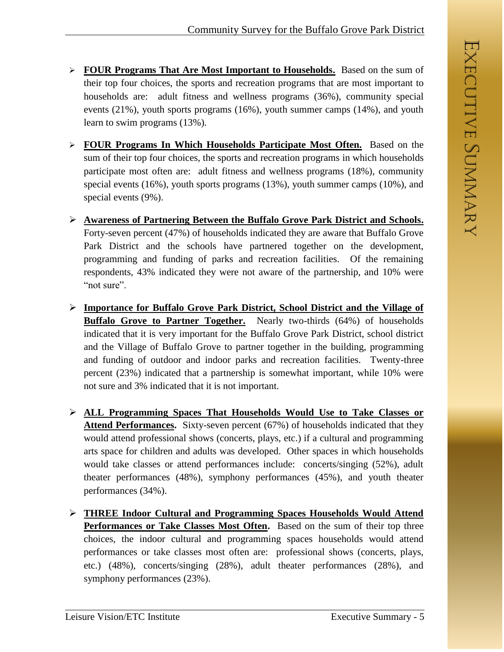- **FOUR Programs That Are Most Important to Households.** Based on the sum of their top four choices, the sports and recreation programs that are most important to households are: adult fitness and wellness programs (36%), community special events (21%), youth sports programs (16%), youth summer camps (14%), and youth learn to swim programs (13%).
- **FOUR Programs In Which Households Participate Most Often.** Based on the sum of their top four choices, the sports and recreation programs in which households participate most often are: adult fitness and wellness programs (18%), community special events (16%), youth sports programs (13%), youth summer camps (10%), and special events (9%).
- **Awareness of Partnering Between the Buffalo Grove Park District and Schools.** Forty-seven percent (47%) of households indicated they are aware that Buffalo Grove Park District and the schools have partnered together on the development, programming and funding of parks and recreation facilities. Of the remaining respondents, 43% indicated they were not aware of the partnership, and 10% were "not sure".
- **Importance for Buffalo Grove Park District, School District and the Village of Buffalo Grove to Partner Together.** Nearly two-thirds (64%) of households indicated that it is very important for the Buffalo Grove Park District, school district and the Village of Buffalo Grove to partner together in the building, programming and funding of outdoor and indoor parks and recreation facilities. Twenty-three percent (23%) indicated that a partnership is somewhat important, while 10% were not sure and 3% indicated that it is not important.
- **ALL Programming Spaces That Households Would Use to Take Classes or Attend Performances.** Sixty-seven percent (67%) of households indicated that they would attend professional shows (concerts, plays, etc.) if a cultural and programming arts space for children and adults was developed. Other spaces in which households would take classes or attend performances include: concerts/singing (52%), adult theater performances (48%), symphony performances (45%), and youth theater performances (34%).
- **THREE Indoor Cultural and Programming Spaces Households Would Attend Performances or Take Classes Most Often.** Based on the sum of their top three choices, the indoor cultural and programming spaces households would attend performances or take classes most often are: professional shows (concerts, plays, etc.) (48%), concerts/singing (28%), adult theater performances (28%), and symphony performances (23%).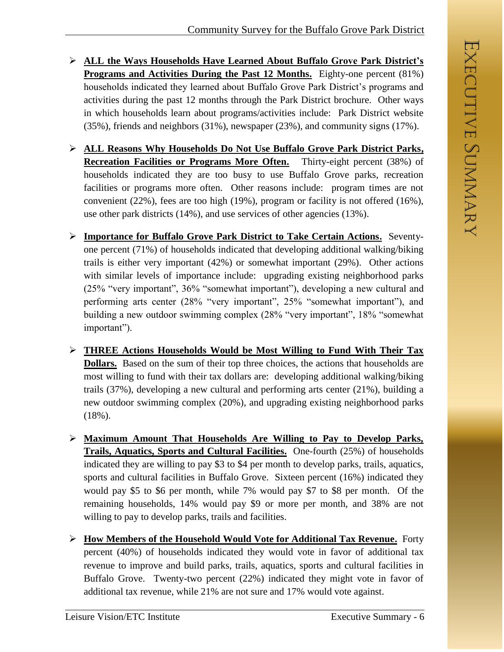- **ALL the Ways Households Have Learned About Buffalo Grove Park District's Programs and Activities During the Past 12 Months.** Eighty-one percent (81%) households indicated they learned about Buffalo Grove Park District's programs and activities during the past 12 months through the Park District brochure. Other ways in which households learn about programs/activities include: Park District website (35%), friends and neighbors (31%), newspaper (23%), and community signs (17%).
- **ALL Reasons Why Households Do Not Use Buffalo Grove Park District Parks, Recreation Facilities or Programs More Often.** Thirty-eight percent (38%) of households indicated they are too busy to use Buffalo Grove parks, recreation facilities or programs more often. Other reasons include: program times are not convenient (22%), fees are too high (19%), program or facility is not offered (16%), use other park districts (14%), and use services of other agencies (13%).
- **Importance for Buffalo Grove Park District to Take Certain Actions.** Seventyone percent (71%) of households indicated that developing additional walking/biking trails is either very important (42%) or somewhat important (29%). Other actions with similar levels of importance include: upgrading existing neighborhood parks (25% "very important", 36% "somewhat important"), developing a new cultural and performing arts center (28% "very important", 25% "somewhat important"), and building a new outdoor swimming complex (28% "very important", 18% "somewhat important").
- **THREE Actions Households Would be Most Willing to Fund With Their Tax Dollars.** Based on the sum of their top three choices, the actions that households are most willing to fund with their tax dollars are: developing additional walking/biking trails (37%), developing a new cultural and performing arts center (21%), building a new outdoor swimming complex (20%), and upgrading existing neighborhood parks (18%).
- **Maximum Amount That Households Are Willing to Pay to Develop Parks, Trails, Aquatics, Sports and Cultural Facilities.** One-fourth (25%) of households indicated they are willing to pay \$3 to \$4 per month to develop parks, trails, aquatics, sports and cultural facilities in Buffalo Grove. Sixteen percent (16%) indicated they would pay \$5 to \$6 per month, while 7% would pay \$7 to \$8 per month. Of the remaining households, 14% would pay \$9 or more per month, and 38% are not willing to pay to develop parks, trails and facilities.
- **How Members of the Household Would Vote for Additional Tax Revenue.** Forty percent (40%) of households indicated they would vote in favor of additional tax revenue to improve and build parks, trails, aquatics, sports and cultural facilities in Buffalo Grove. Twenty-two percent (22%) indicated they might vote in favor of additional tax revenue, while 21% are not sure and 17% would vote against.